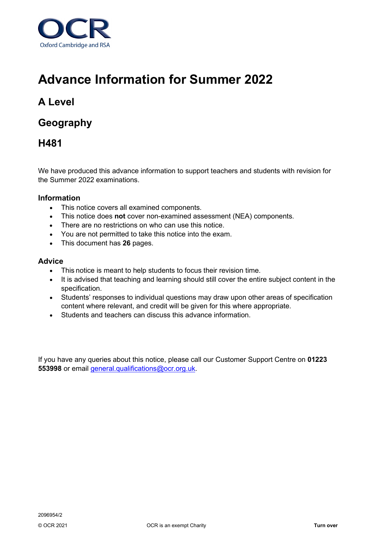

# **Advance Information for Summer 2022**

## **A Level**

## **Geography**

## **H481**

We have produced this advance information to support teachers and students with revision for the Summer 2022 examinations.

### **Information**

- This notice covers all examined components.
- This notice does **not** cover non-examined assessment (NEA) components.
- There are no restrictions on who can use this notice.
- You are not permitted to take this notice into the exam.
- This document has **26** pages.

#### **Advice**

- This notice is meant to help students to focus their revision time.
- It is advised that teaching and learning should still cover the entire subject content in the specification.
- Students' responses to individual questions may draw upon other areas of specification content where relevant, and credit will be given for this where appropriate.
- Students and teachers can discuss this advance information.

If you have any queries about this notice, please call our Customer Support Centre on **01223 553998** or email [general.qualifications@ocr.org.uk.](mailto:general.qualifications@ocr.org.uk)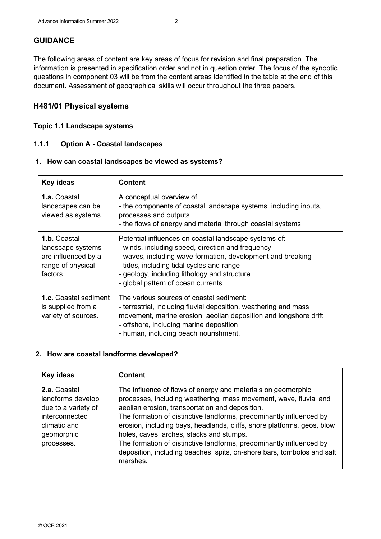## **GUIDANCE**

The following areas of content are key areas of focus for revision and final preparation. The information is presented in specification order and not in question order. The focus of the synoptic questions in component 03 will be from the content areas identified in the table at the end of this document. Assessment of geographical skills will occur throughout the three papers.

### **H481/01 Physical systems**

#### **Topic 1.1 Landscape systems**

## **1.1.1 Option A - Coastal landscapes**

#### **1. How can coastal landscapes be viewed as systems?**

| Key ideas                                                                                 | <b>Content</b>                                                                                                                                                                                                                                                                                                |  |
|-------------------------------------------------------------------------------------------|---------------------------------------------------------------------------------------------------------------------------------------------------------------------------------------------------------------------------------------------------------------------------------------------------------------|--|
| <b>1.a.</b> Coastal<br>landscapes can be<br>viewed as systems.                            | A conceptual overview of:<br>- the components of coastal landscape systems, including inputs,<br>processes and outputs<br>- the flows of energy and material through coastal systems                                                                                                                          |  |
| 1.b. Coastal<br>landscape systems<br>are influenced by a<br>range of physical<br>factors. | Potential influences on coastal landscape systems of:<br>- winds, including speed, direction and frequency<br>- waves, including wave formation, development and breaking<br>- tides, including tidal cycles and range<br>- geology, including lithology and structure<br>- global pattern of ocean currents. |  |
| <b>1.c.</b> Coastal sediment<br>is supplied from a<br>variety of sources.                 | The various sources of coastal sediment:<br>- terrestrial, including fluvial deposition, weathering and mass<br>movement, marine erosion, aeolian deposition and longshore drift<br>- offshore, including marine deposition<br>- human, including beach nourishment.                                          |  |

#### **2. How are coastal landforms developed?**

| Key ideas                                                                                                              | <b>Content</b>                                                                                                                                                                                                                                                                                                                                                                                                                                                                                                                                  |
|------------------------------------------------------------------------------------------------------------------------|-------------------------------------------------------------------------------------------------------------------------------------------------------------------------------------------------------------------------------------------------------------------------------------------------------------------------------------------------------------------------------------------------------------------------------------------------------------------------------------------------------------------------------------------------|
| 2.a. Coastal<br>landforms develop<br>due to a variety of<br>interconnected<br>climatic and<br>geomorphic<br>processes. | The influence of flows of energy and materials on geomorphic<br>processes, including weathering, mass movement, wave, fluvial and<br>aeolian erosion, transportation and deposition.<br>The formation of distinctive landforms, predominantly influenced by<br>erosion, including bays, headlands, cliffs, shore platforms, geos, blow<br>holes, caves, arches, stacks and stumps.<br>The formation of distinctive landforms, predominantly influenced by<br>deposition, including beaches, spits, on-shore bars, tombolos and salt<br>marshes. |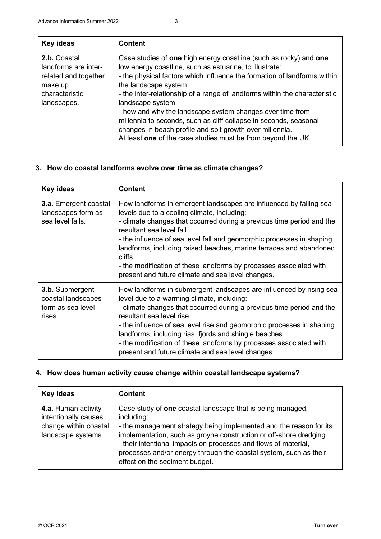| Key ideas                                                                                                | <b>Content</b>                                                                                                                                                                                                                                                                                                                                                                                                                                                                                                                                                                                   |
|----------------------------------------------------------------------------------------------------------|--------------------------------------------------------------------------------------------------------------------------------------------------------------------------------------------------------------------------------------------------------------------------------------------------------------------------------------------------------------------------------------------------------------------------------------------------------------------------------------------------------------------------------------------------------------------------------------------------|
| 2.b. Coastal<br>landforms are inter-<br>related and together<br>make up<br>characteristic<br>landscapes. | Case studies of one high energy coastline (such as rocky) and one<br>low energy coastline, such as estuarine, to illustrate:<br>- the physical factors which influence the formation of landforms within<br>the landscape system<br>- the inter-relationship of a range of landforms within the characteristic<br>landscape system<br>- how and why the landscape system changes over time from<br>millennia to seconds, such as cliff collapse in seconds, seasonal<br>changes in beach profile and spit growth over millennia.<br>At least one of the case studies must be from beyond the UK. |

## **3. How do coastal landforms evolve over time as climate changes?**

| <b>Content</b><br>Key ideas                                                 |                                                                                                                                                                                                                                                                                                                                                                                                                                                                                                            |
|-----------------------------------------------------------------------------|------------------------------------------------------------------------------------------------------------------------------------------------------------------------------------------------------------------------------------------------------------------------------------------------------------------------------------------------------------------------------------------------------------------------------------------------------------------------------------------------------------|
| <b>3.a.</b> Emergent coastal<br>landscapes form as<br>sea level falls.      | How landforms in emergent landscapes are influenced by falling sea<br>levels due to a cooling climate, including:<br>- climate changes that occurred during a previous time period and the<br>resultant sea level fall<br>- the influence of sea level fall and geomorphic processes in shaping<br>landforms, including raised beaches, marine terraces and abandoned<br>cliffs<br>- the modification of these landforms by processes associated with<br>present and future climate and sea level changes. |
| <b>3.b.</b> Submergent<br>coastal landscapes<br>form as sea level<br>rises. | How landforms in submergent landscapes are influenced by rising sea<br>level due to a warming climate, including:<br>- climate changes that occurred during a previous time period and the<br>resultant sea level rise<br>- the influence of sea level rise and geomorphic processes in shaping<br>landforms, including rias, fjords and shingle beaches<br>- the modification of these landforms by processes associated with<br>present and future climate and sea level changes.                        |

## **4. How does human activity cause change within coastal landscape systems?**

| Key ideas                                                                                  | <b>Content</b>                                                                                                                                                                                                                                                                                                                                                                                |
|--------------------------------------------------------------------------------------------|-----------------------------------------------------------------------------------------------------------------------------------------------------------------------------------------------------------------------------------------------------------------------------------------------------------------------------------------------------------------------------------------------|
| 4.a. Human activity<br>intentionally causes<br>change within coastal<br>landscape systems. | Case study of one coastal landscape that is being managed,<br>including:<br>- the management strategy being implemented and the reason for its<br>implementation, such as groyne construction or off-shore dredging<br>- their intentional impacts on processes and flows of material,<br>processes and/or energy through the coastal system, such as their<br>effect on the sediment budget. |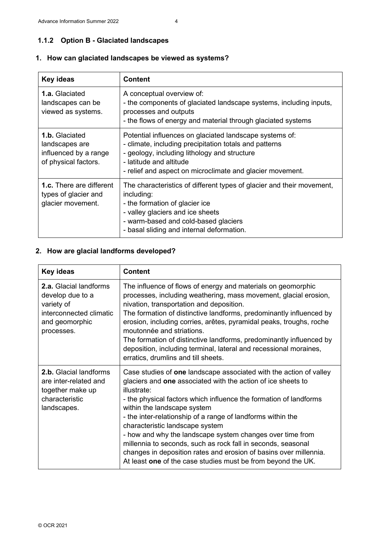## **1.1.2 Option B - Glaciated landscapes**

#### **Key ideas Content 1.a.** Glaciated landscapes can be viewed as systems. A conceptual overview of: - the components of glaciated landscape systems, including inputs, processes and outputs - the flows of energy and material through glaciated systems **1.b.** Glaciated landscapes are influenced by a range of physical factors. Potential influences on glaciated landscape systems of: - climate, including precipitation totals and patterns - geology, including lithology and structure - latitude and altitude - relief and aspect on microclimate and glacier movement. **1.c.** There are different types of glacier and glacier movement. The characteristics of different types of glacier and their movement, including: - the formation of glacier ice - valley glaciers and ice sheets - warm-based and cold-based glaciers - basal sliding and internal deformation.

#### **1. How can glaciated landscapes be viewed as systems?**

#### **2. How are glacial landforms developed?**

| <b>Key ideas</b>                                                                                                           | <b>Content</b>                                                                                                                                                                                                                                                                                                                                                                                                                                                                                                                                                                                                            |
|----------------------------------------------------------------------------------------------------------------------------|---------------------------------------------------------------------------------------------------------------------------------------------------------------------------------------------------------------------------------------------------------------------------------------------------------------------------------------------------------------------------------------------------------------------------------------------------------------------------------------------------------------------------------------------------------------------------------------------------------------------------|
| <b>2.a.</b> Glacial landforms<br>develop due to a<br>variety of<br>interconnected climatic<br>and geomorphic<br>processes. | The influence of flows of energy and materials on geomorphic<br>processes, including weathering, mass movement, glacial erosion,<br>nivation, transportation and deposition.<br>The formation of distinctive landforms, predominantly influenced by<br>erosion, including corries, arêtes, pyramidal peaks, troughs, roche<br>moutonnée and striations.<br>The formation of distinctive landforms, predominantly influenced by<br>deposition, including terminal, lateral and recessional moraines,<br>erratics, drumlins and till sheets.                                                                                |
| <b>2.b.</b> Glacial landforms<br>are inter-related and<br>together make up<br>characteristic<br>landscapes.                | Case studies of one landscape associated with the action of valley<br>glaciers and one associated with the action of ice sheets to<br>illustrate:<br>- the physical factors which influence the formation of landforms<br>within the landscape system<br>- the inter-relationship of a range of landforms within the<br>characteristic landscape system<br>- how and why the landscape system changes over time from<br>millennia to seconds, such as rock fall in seconds, seasonal<br>changes in deposition rates and erosion of basins over millennia.<br>At least one of the case studies must be from beyond the UK. |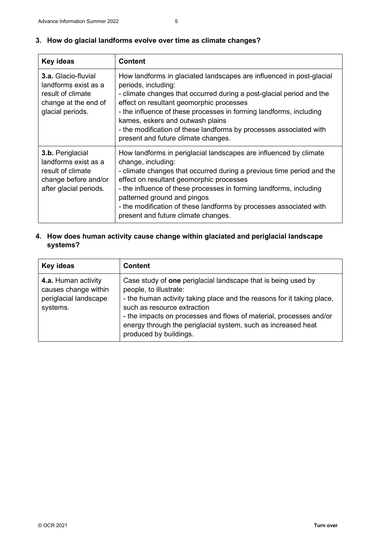|  |  |  | 3. How do glacial landforms evolve over time as climate changes? |  |  |  |  |  |  |
|--|--|--|------------------------------------------------------------------|--|--|--|--|--|--|
|--|--|--|------------------------------------------------------------------|--|--|--|--|--|--|

| <b>Key ideas</b>                                                                                                    | <b>Content</b>                                                                                                                                                                                                                                                                                                                                                                                                                         |  |
|---------------------------------------------------------------------------------------------------------------------|----------------------------------------------------------------------------------------------------------------------------------------------------------------------------------------------------------------------------------------------------------------------------------------------------------------------------------------------------------------------------------------------------------------------------------------|--|
| <b>3.a.</b> Glacio-fluvial<br>landforms exist as a<br>result of climate<br>change at the end of<br>glacial periods. | How landforms in glaciated landscapes are influenced in post-glacial<br>periods, including:<br>- climate changes that occurred during a post-glacial period and the<br>effect on resultant geomorphic processes<br>- the influence of these processes in forming landforms, including<br>kames, eskers and outwash plains<br>- the modification of these landforms by processes associated with<br>present and future climate changes. |  |
| 3.b. Periglacial<br>landforms exist as a<br>result of climate<br>change before and/or<br>after glacial periods.     | How landforms in periglacial landscapes are influenced by climate<br>change, including:<br>- climate changes that occurred during a previous time period and the<br>effect on resultant geomorphic processes<br>- the influence of these processes in forming landforms, including<br>patterned ground and pingos<br>- the modification of these landforms by processes associated with<br>present and future climate changes.         |  |

## **4. How does human activity cause change within glaciated and periglacial landscape systems?**

| Key ideas                                                                        | <b>Content</b>                                                                                                                                                                                                                                                                                                                                                    |
|----------------------------------------------------------------------------------|-------------------------------------------------------------------------------------------------------------------------------------------------------------------------------------------------------------------------------------------------------------------------------------------------------------------------------------------------------------------|
| 4.a. Human activity<br>causes change within<br>periglacial landscape<br>systems. | Case study of one periglacial landscape that is being used by<br>people, to illustrate:<br>- the human activity taking place and the reasons for it taking place,<br>such as resource extraction<br>- the impacts on processes and flows of material, processes and/or<br>energy through the periglacial system, such as increased heat<br>produced by buildings. |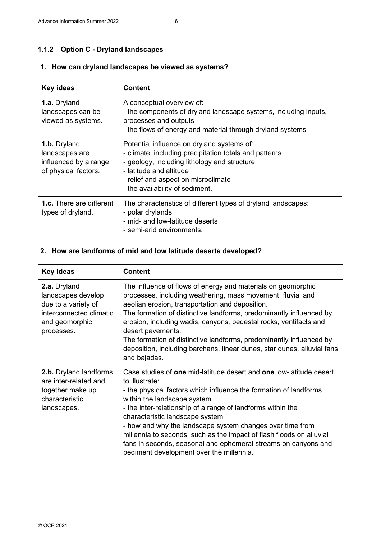## **1.1.2 Option C - Dryland landscapes**

## **1. How can dryland landscapes be viewed as systems?**

| <b>Key ideas</b>                                                                | <b>Content</b>                                                                                                                                                                                                                                            |
|---------------------------------------------------------------------------------|-----------------------------------------------------------------------------------------------------------------------------------------------------------------------------------------------------------------------------------------------------------|
| 1.a. Dryland<br>landscapes can be<br>viewed as systems.                         | A conceptual overview of:<br>- the components of dryland landscape systems, including inputs,<br>processes and outputs<br>- the flows of energy and material through dryland systems                                                                      |
| 1.b. Dryland<br>landscapes are<br>influenced by a range<br>of physical factors. | Potential influence on dryland systems of:<br>- climate, including precipitation totals and patterns<br>- geology, including lithology and structure<br>- latitude and altitude<br>- relief and aspect on microclimate<br>- the availability of sediment. |
| <b>1.c.</b> There are different<br>types of dryland.                            | The characteristics of different types of dryland landscapes:<br>- polar drylands<br>- mid- and low-latitude deserts<br>- semi-arid environments.                                                                                                         |

## **2. How are landforms of mid and low latitude deserts developed?**

| Key ideas                                                                                                            | <b>Content</b>                                                                                                                                                                                                                                                                                                                                                                                                                                                                                                                                 |  |  |
|----------------------------------------------------------------------------------------------------------------------|------------------------------------------------------------------------------------------------------------------------------------------------------------------------------------------------------------------------------------------------------------------------------------------------------------------------------------------------------------------------------------------------------------------------------------------------------------------------------------------------------------------------------------------------|--|--|
| 2.a. Dryland<br>landscapes develop<br>due to a variety of<br>interconnected climatic<br>and geomorphic<br>processes. | The influence of flows of energy and materials on geomorphic<br>processes, including weathering, mass movement, fluvial and<br>aeolian erosion, transportation and deposition.<br>The formation of distinctive landforms, predominantly influenced by<br>erosion, including wadis, canyons, pedestal rocks, ventifacts and<br>desert pavements.<br>The formation of distinctive landforms, predominantly influenced by<br>deposition, including barchans, linear dunes, star dunes, alluvial fans<br>and bajadas.                              |  |  |
| 2.b. Dryland landforms<br>are inter-related and<br>together make up<br>characteristic<br>landscapes.                 | Case studies of one mid-latitude desert and one low-latitude desert<br>to illustrate:<br>- the physical factors which influence the formation of landforms<br>within the landscape system<br>- the inter-relationship of a range of landforms within the<br>characteristic landscape system<br>- how and why the landscape system changes over time from<br>millennia to seconds, such as the impact of flash floods on alluvial<br>fans in seconds, seasonal and ephemeral streams on canyons and<br>pediment development over the millennia. |  |  |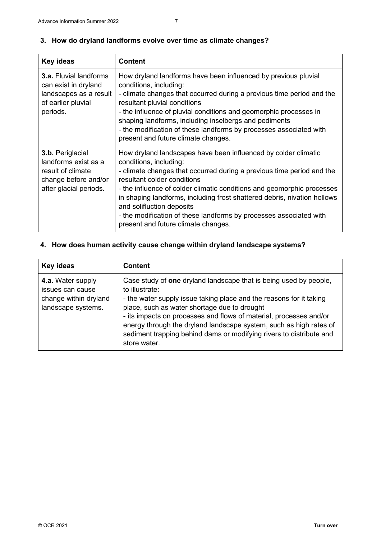| <b>Key ideas</b>                                                                                                  | <b>Content</b>                                                                                                                                                                                                                                                                                                                                                                                                                                                                                   |  |
|-------------------------------------------------------------------------------------------------------------------|--------------------------------------------------------------------------------------------------------------------------------------------------------------------------------------------------------------------------------------------------------------------------------------------------------------------------------------------------------------------------------------------------------------------------------------------------------------------------------------------------|--|
| <b>3.a.</b> Fluvial landforms<br>can exist in dryland<br>landscapes as a result<br>of earlier pluvial<br>periods. | How dryland landforms have been influenced by previous pluvial<br>conditions, including:<br>- climate changes that occurred during a previous time period and the<br>resultant pluvial conditions<br>- the influence of pluvial conditions and geomorphic processes in<br>shaping landforms, including inselbergs and pediments<br>- the modification of these landforms by processes associated with<br>present and future climate changes.                                                     |  |
| 3.b. Periglacial<br>landforms exist as a<br>result of climate<br>change before and/or<br>after glacial periods.   | How dryland landscapes have been influenced by colder climatic<br>conditions, including:<br>- climate changes that occurred during a previous time period and the<br>resultant colder conditions<br>- the influence of colder climatic conditions and geomorphic processes<br>in shaping landforms, including frost shattered debris, nivation hollows<br>and solifluction deposits<br>- the modification of these landforms by processes associated with<br>present and future climate changes. |  |

## **3. How do dryland landforms evolve over time as climate changes?**

## **4. How does human activity cause change within dryland landscape systems?**

| Key ideas                                                                            | <b>Content</b>                                                                                                                                                                                                                                                                                                                                                                                                                                |
|--------------------------------------------------------------------------------------|-----------------------------------------------------------------------------------------------------------------------------------------------------------------------------------------------------------------------------------------------------------------------------------------------------------------------------------------------------------------------------------------------------------------------------------------------|
| 4.a. Water supply<br>issues can cause<br>change within dryland<br>landscape systems. | Case study of one dryland landscape that is being used by people,<br>to illustrate:<br>- the water supply issue taking place and the reasons for it taking<br>place, such as water shortage due to drought<br>- its impacts on processes and flows of material, processes and/or<br>energy through the dryland landscape system, such as high rates of<br>sediment trapping behind dams or modifying rivers to distribute and<br>store water. |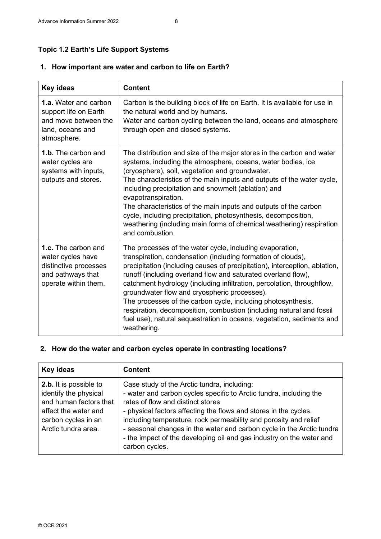## **Topic 1.2 Earth's Life Support Systems**

#### **1. How important are water and carbon to life on Earth?**

| <b>Key ideas</b>                                                                                                      | <b>Content</b>                                                                                                                                                                                                                                                                                                                                                                                                                                                                                                                                                                                                                    |
|-----------------------------------------------------------------------------------------------------------------------|-----------------------------------------------------------------------------------------------------------------------------------------------------------------------------------------------------------------------------------------------------------------------------------------------------------------------------------------------------------------------------------------------------------------------------------------------------------------------------------------------------------------------------------------------------------------------------------------------------------------------------------|
| <b>1.a.</b> Water and carbon<br>support life on Earth<br>and move between the<br>land, oceans and<br>atmosphere.      | Carbon is the building block of life on Earth. It is available for use in<br>the natural world and by humans.<br>Water and carbon cycling between the land, oceans and atmosphere<br>through open and closed systems.                                                                                                                                                                                                                                                                                                                                                                                                             |
| <b>1.b.</b> The carbon and<br>water cycles are<br>systems with inputs,<br>outputs and stores.                         | The distribution and size of the major stores in the carbon and water<br>systems, including the atmosphere, oceans, water bodies, ice<br>(cryosphere), soil, vegetation and groundwater.<br>The characteristics of the main inputs and outputs of the water cycle,<br>including precipitation and snowmelt (ablation) and<br>evapotranspiration.<br>The characteristics of the main inputs and outputs of the carbon<br>cycle, including precipitation, photosynthesis, decomposition,<br>weathering (including main forms of chemical weathering) respiration<br>and combustion.                                                 |
| <b>1.c.</b> The carbon and<br>water cycles have<br>distinctive processes<br>and pathways that<br>operate within them. | The processes of the water cycle, including evaporation,<br>transpiration, condensation (including formation of clouds),<br>precipitation (including causes of precipitation), interception, ablation,<br>runoff (including overland flow and saturated overland flow),<br>catchment hydrology (including infiltration, percolation, throughflow,<br>groundwater flow and cryospheric processes).<br>The processes of the carbon cycle, including photosynthesis,<br>respiration, decomposition, combustion (including natural and fossil<br>fuel use), natural sequestration in oceans, vegetation, sediments and<br>weathering. |

## **2. How do the water and carbon cycles operate in contrasting locations?**

| Key ideas                                                                                                                                       | <b>Content</b>                                                                                                                                                                                                                                                                                                                                                                                                                                                    |
|-------------------------------------------------------------------------------------------------------------------------------------------------|-------------------------------------------------------------------------------------------------------------------------------------------------------------------------------------------------------------------------------------------------------------------------------------------------------------------------------------------------------------------------------------------------------------------------------------------------------------------|
| 2.b. It is possible to<br>identify the physical<br>and human factors that<br>affect the water and<br>carbon cycles in an<br>Arctic tundra area. | Case study of the Arctic tundra, including:<br>- water and carbon cycles specific to Arctic tundra, including the<br>rates of flow and distinct stores<br>- physical factors affecting the flows and stores in the cycles,<br>including temperature, rock permeability and porosity and relief<br>- seasonal changes in the water and carbon cycle in the Arctic tundra<br>- the impact of the developing oil and gas industry on the water and<br>carbon cycles. |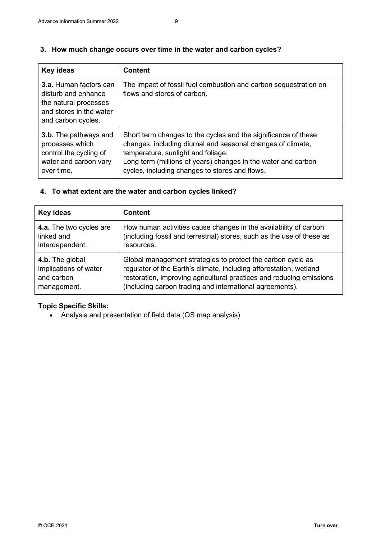#### **3. How much change occurs over time in the water and carbon cycles?**

| Key ideas                                                                                                               | <b>Content</b>                                                                                                                                                                                                                                                                         |
|-------------------------------------------------------------------------------------------------------------------------|----------------------------------------------------------------------------------------------------------------------------------------------------------------------------------------------------------------------------------------------------------------------------------------|
| 3.a. Human factors can<br>disturb and enhance<br>the natural processes<br>and stores in the water<br>and carbon cycles. | The impact of fossil fuel combustion and carbon sequestration on<br>flows and stores of carbon.                                                                                                                                                                                        |
| <b>3.b.</b> The pathways and<br>processes which<br>control the cycling of<br>water and carbon vary<br>over time.        | Short term changes to the cycles and the significance of these<br>changes, including diurnal and seasonal changes of climate,<br>temperature, sunlight and foliage.<br>Long term (millions of years) changes in the water and carbon<br>cycles, including changes to stores and flows. |

## **4. To what extent are the water and carbon cycles linked?**

| <b>Key ideas</b>        | <b>Content</b>                                                         |
|-------------------------|------------------------------------------------------------------------|
| 4.a. The two cycles are | How human activities cause changes in the availability of carbon       |
| linked and              | (including fossil and terrestrial) stores, such as the use of these as |
| interdependent.         | resources.                                                             |
| 4.b. The global         | Global management strategies to protect the carbon cycle as            |
| implications of water   | regulator of the Earth's climate, including afforestation, wetland     |
| and carbon              | restoration, improving agricultural practices and reducing emissions   |
| management.             | (including carbon trading and international agreements).               |

## **Topic Specific Skills:**

• Analysis and presentation of field data (OS map analysis)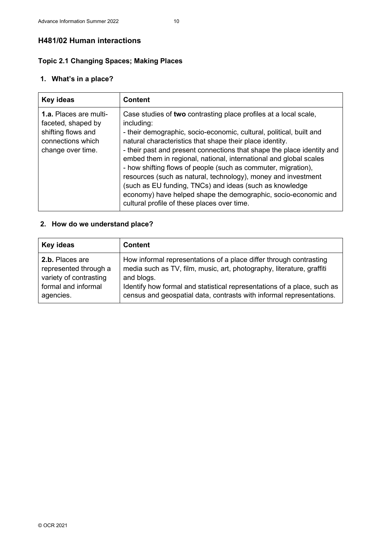## **H481/02 Human interactions**

## **Topic 2.1 Changing Spaces; Making Places**

## **1. What's in a place?**

| <b>Key ideas</b>                                                                                                    | <b>Content</b>                                                                                                                                                                                                                                                                                                                                                                                                                                                                                                                                                                                                                                                                 |
|---------------------------------------------------------------------------------------------------------------------|--------------------------------------------------------------------------------------------------------------------------------------------------------------------------------------------------------------------------------------------------------------------------------------------------------------------------------------------------------------------------------------------------------------------------------------------------------------------------------------------------------------------------------------------------------------------------------------------------------------------------------------------------------------------------------|
| <b>1.a.</b> Places are multi-<br>faceted, shaped by<br>shifting flows and<br>connections which<br>change over time. | Case studies of two contrasting place profiles at a local scale,<br>including:<br>- their demographic, socio-economic, cultural, political, built and<br>natural characteristics that shape their place identity.<br>- their past and present connections that shape the place identity and<br>embed them in regional, national, international and global scales<br>- how shifting flows of people (such as commuter, migration),<br>resources (such as natural, technology), money and investment<br>(such as EU funding, TNCs) and ideas (such as knowledge<br>economy) have helped shape the demographic, socio-economic and<br>cultural profile of these places over time. |

## **2. How do we understand place?**

| Key ideas              | <b>Content</b>                                                          |
|------------------------|-------------------------------------------------------------------------|
| 2.b. Places are        | How informal representations of a place differ through contrasting      |
| represented through a  | media such as TV, film, music, art, photography, literature, graffiti   |
| variety of contrasting | and blogs.                                                              |
| formal and informal    | Identify how formal and statistical representations of a place, such as |
| agencies.              | census and geospatial data, contrasts with informal representations.    |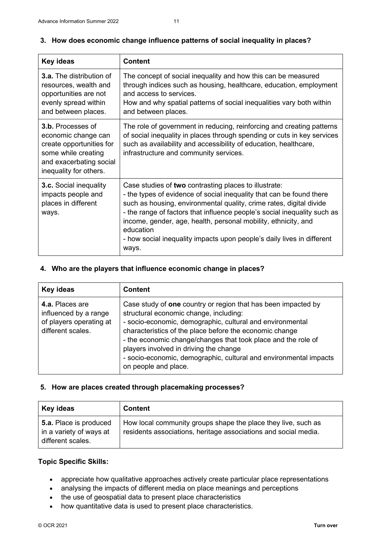$\mathsf{r}$ 

| <b>Key ideas</b>                                                                                                                                        | <b>Content</b>                                                                                                                                                                                                                                                                                                                                                                                                                                     |
|---------------------------------------------------------------------------------------------------------------------------------------------------------|----------------------------------------------------------------------------------------------------------------------------------------------------------------------------------------------------------------------------------------------------------------------------------------------------------------------------------------------------------------------------------------------------------------------------------------------------|
| <b>3.a.</b> The distribution of<br>resources, wealth and<br>opportunities are not<br>evenly spread within<br>and between places.                        | The concept of social inequality and how this can be measured<br>through indices such as housing, healthcare, education, employment<br>and access to services.<br>How and why spatial patterns of social inequalities vary both within<br>and between places.                                                                                                                                                                                      |
| <b>3.b.</b> Processes of<br>economic change can<br>create opportunities for<br>some while creating<br>and exacerbating social<br>inequality for others. | The role of government in reducing, reinforcing and creating patterns<br>of social inequality in places through spending or cuts in key services<br>such as availability and accessibility of education, healthcare,<br>infrastructure and community services.                                                                                                                                                                                     |
| <b>3.c.</b> Social inequality<br>impacts people and<br>places in different<br>ways.                                                                     | Case studies of two contrasting places to illustrate:<br>- the types of evidence of social inequality that can be found there<br>such as housing, environmental quality, crime rates, digital divide<br>- the range of factors that influence people's social inequality such as<br>income, gender, age, health, personal mobility, ethnicity, and<br>education<br>- how social inequality impacts upon people's daily lives in different<br>ways. |

#### **3. How does economic change influence patterns of social inequality in places?**

### **4. Who are the players that influence economic change in places?**

| Key ideas                                                                                       | <b>Content</b>                                                                                                                                                                                                                                                                                                                                                                                                                          |
|-------------------------------------------------------------------------------------------------|-----------------------------------------------------------------------------------------------------------------------------------------------------------------------------------------------------------------------------------------------------------------------------------------------------------------------------------------------------------------------------------------------------------------------------------------|
| <b>4.a.</b> Places are<br>influenced by a range<br>of players operating at<br>different scales. | Case study of one country or region that has been impacted by<br>structural economic change, including:<br>- socio-economic, demographic, cultural and environmental<br>characteristics of the place before the economic change<br>- the economic change/changes that took place and the role of<br>players involved in driving the change<br>- socio-economic, demographic, cultural and environmental impacts<br>on people and place. |

## **5. How are places created through placemaking processes?**

| Key ideas                                                                     | <b>Content</b>                                                                                                                   |
|-------------------------------------------------------------------------------|----------------------------------------------------------------------------------------------------------------------------------|
| <b>5.a.</b> Place is produced<br>in a variety of ways at<br>different scales. | How local community groups shape the place they live, such as<br>residents associations, heritage associations and social media. |

#### **Topic Specific Skills:**

- appreciate how qualitative approaches actively create particular place representations
- analysing the impacts of different media on place meanings and perceptions
- the use of geospatial data to present place characteristics
- how quantitative data is used to present place characteristics.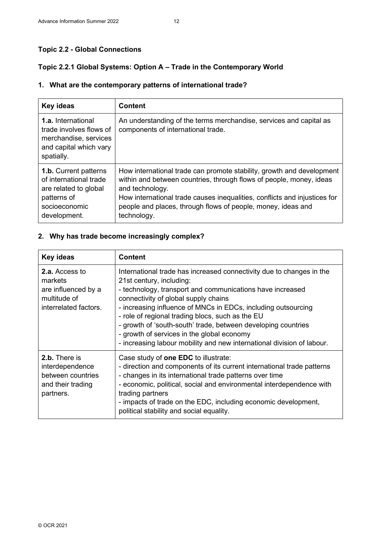## **Topic 2.2 - Global Connections**

## **Topic 2.2.1 Global Systems: Option A – Trade in the Contemporary World**

## **1. What are the contemporary patterns of international trade?**

| <b>Key ideas</b>                                                                                                                | <b>Content</b>                                                                                                                                                                                                                                                                                                              |
|---------------------------------------------------------------------------------------------------------------------------------|-----------------------------------------------------------------------------------------------------------------------------------------------------------------------------------------------------------------------------------------------------------------------------------------------------------------------------|
| <b>1.a.</b> International<br>trade involves flows of<br>merchandise, services<br>and capital which vary<br>spatially.           | An understanding of the terms merchandise, services and capital as<br>components of international trade.                                                                                                                                                                                                                    |
| <b>1.b.</b> Current patterns<br>of international trade<br>are related to global<br>patterns of<br>socioeconomic<br>development. | How international trade can promote stability, growth and development<br>within and between countries, through flows of people, money, ideas<br>and technology.<br>How international trade causes inequalities, conflicts and injustices for<br>people and places, through flows of people, money, ideas and<br>technology. |

## **2. Why has trade become increasingly complex?**

| <b>Key ideas</b>                                                                                 | <b>Content</b>                                                                                                                                                                                                                                                                                                                                                                                                                                                                                                      |
|--------------------------------------------------------------------------------------------------|---------------------------------------------------------------------------------------------------------------------------------------------------------------------------------------------------------------------------------------------------------------------------------------------------------------------------------------------------------------------------------------------------------------------------------------------------------------------------------------------------------------------|
| <b>2.a.</b> Access to<br>markets<br>are influenced by a<br>multitude of<br>interrelated factors. | International trade has increased connectivity due to changes in the<br>21st century, including:<br>- technology, transport and communications have increased<br>connectivity of global supply chains<br>- increasing influence of MNCs in EDCs, including outsourcing<br>- role of regional trading blocs, such as the EU<br>- growth of 'south-south' trade, between developing countries<br>- growth of services in the global economy<br>- increasing labour mobility and new international division of labour. |
| 2.b. There is<br>interdependence<br>between countries<br>and their trading<br>partners.          | Case study of <b>one EDC</b> to illustrate:<br>- direction and components of its current international trade patterns<br>- changes in its international trade patterns over time<br>- economic, political, social and environmental interdependence with<br>trading partners<br>- impacts of trade on the EDC, including economic development,<br>political stability and social equality.                                                                                                                          |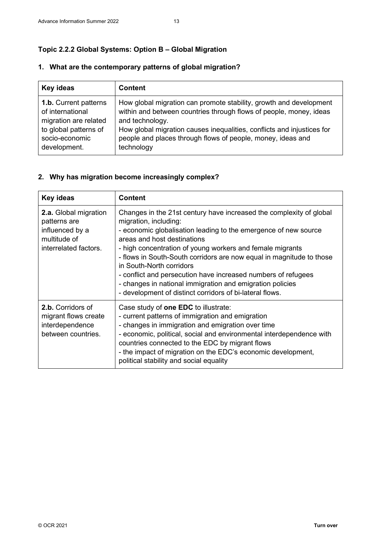## **Topic 2.2.2 Global Systems: Option B – Global Migration**

| Key ideas                    | <b>Content</b>                                                         |
|------------------------------|------------------------------------------------------------------------|
| <b>1.b.</b> Current patterns | How global migration can promote stability, growth and development     |
| of international             | within and between countries through flows of people, money, ideas     |
| migration are related        | and technology.                                                        |
| to global patterns of        | How global migration causes inequalities, conflicts and injustices for |
| socio-economic               | people and places through flows of people, money, ideas and            |
| development.                 | technology                                                             |

## **1. What are the contemporary patterns of global migration?**

## **2. Why has migration become increasingly complex?**

| <b>Key ideas</b>                                                                                  | <b>Content</b>                                                                                                                                                                                                                                                                                                                                                                                                                                                                                                                                            |
|---------------------------------------------------------------------------------------------------|-----------------------------------------------------------------------------------------------------------------------------------------------------------------------------------------------------------------------------------------------------------------------------------------------------------------------------------------------------------------------------------------------------------------------------------------------------------------------------------------------------------------------------------------------------------|
| 2.a. Global migration<br>patterns are<br>influenced by a<br>multitude of<br>interrelated factors. | Changes in the 21st century have increased the complexity of global<br>migration, including:<br>- economic globalisation leading to the emergence of new source<br>areas and host destinations<br>- high concentration of young workers and female migrants<br>- flows in South-South corridors are now equal in magnitude to those<br>in South-North corridors<br>- conflict and persecution have increased numbers of refugees<br>- changes in national immigration and emigration policies<br>- development of distinct corridors of bi-lateral flows. |
| 2.b. Corridors of<br>migrant flows create<br>interdependence<br>between countries.                | Case study of <b>one EDC</b> to illustrate:<br>- current patterns of immigration and emigration<br>- changes in immigration and emigration over time<br>- economic, political, social and environmental interdependence with<br>countries connected to the EDC by migrant flows<br>- the impact of migration on the EDC's economic development,<br>political stability and social equality                                                                                                                                                                |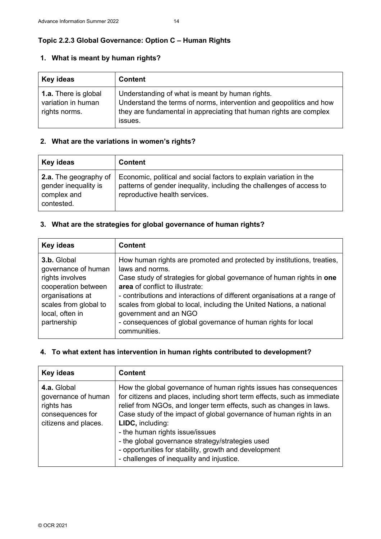## **Topic 2.2.3 Global Governance: Option C – Human Rights**

### **1. What is meant by human rights?**

| Key ideas                                                          | <b>Content</b>                                                                                                                                                                                          |
|--------------------------------------------------------------------|---------------------------------------------------------------------------------------------------------------------------------------------------------------------------------------------------------|
| <b>1.a.</b> There is global<br>variation in human<br>rights norms. | Understanding of what is meant by human rights.<br>Understand the terms of norms, intervention and geopolitics and how<br>they are fundamental in appreciating that human rights are complex<br>issues. |

## **2. What are the variations in women's rights?**

| Key ideas                                                                  | <b>Content</b>                                                                                                                                                              |
|----------------------------------------------------------------------------|-----------------------------------------------------------------------------------------------------------------------------------------------------------------------------|
| 2.a. The geography of<br>gender inequality is<br>complex and<br>contested. | Economic, political and social factors to explain variation in the<br>patterns of gender inequality, including the challenges of access to<br>reproductive health services. |

## **3. What are the strategies for global governance of human rights?**

| Key ideas                                                                                                                                                   | <b>Content</b>                                                                                                                                                                                                                                                                                                                                                                                                                                                        |
|-------------------------------------------------------------------------------------------------------------------------------------------------------------|-----------------------------------------------------------------------------------------------------------------------------------------------------------------------------------------------------------------------------------------------------------------------------------------------------------------------------------------------------------------------------------------------------------------------------------------------------------------------|
| 3.b. Global<br>governance of human<br>rights involves<br>cooperation between<br>organisations at<br>scales from global to<br>local, often in<br>partnership | How human rights are promoted and protected by institutions, treaties,<br>laws and norms.<br>Case study of strategies for global governance of human rights in one<br>area of conflict to illustrate:<br>- contributions and interactions of different organisations at a range of<br>scales from global to local, including the United Nations, a national<br>government and an NGO<br>- consequences of global governance of human rights for local<br>communities. |

## **4. To what extent has intervention in human rights contributed to development?**

| <b>Key ideas</b>                                                                             | <b>Content</b>                                                                                                                                                                                                                                                                                                                                                                                                                                                                                               |
|----------------------------------------------------------------------------------------------|--------------------------------------------------------------------------------------------------------------------------------------------------------------------------------------------------------------------------------------------------------------------------------------------------------------------------------------------------------------------------------------------------------------------------------------------------------------------------------------------------------------|
| 4.a. Global<br>governance of human<br>rights has<br>consequences for<br>citizens and places. | How the global governance of human rights issues has consequences<br>for citizens and places, including short term effects, such as immediate<br>relief from NGOs, and longer term effects, such as changes in laws.<br>Case study of the impact of global governance of human rights in an<br>LIDC, including:<br>- the human rights issue/issues<br>- the global governance strategy/strategies used<br>- opportunities for stability, growth and development<br>- challenges of inequality and injustice. |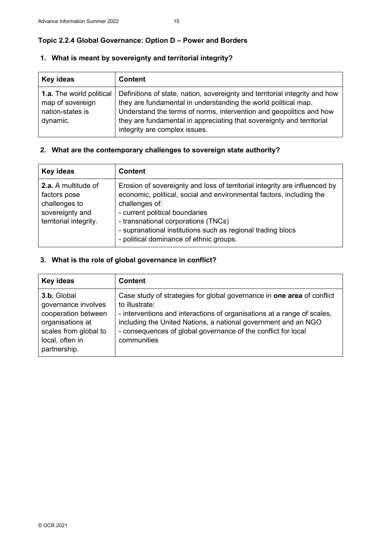## **Topic 2.2.4 Global Governance: Option D – Power and Borders**

## **1. What is meant by sovereignty and territorial integrity?**

| Key ideas                                                                           | <b>Content</b>                                                                                                                                                                                                                                                                                                                 |
|-------------------------------------------------------------------------------------|--------------------------------------------------------------------------------------------------------------------------------------------------------------------------------------------------------------------------------------------------------------------------------------------------------------------------------|
| <b>1.a.</b> The world political<br>map of sovereign<br>nation-states is<br>dynamic. | Definitions of state, nation, sovereignty and territorial integrity and how<br>they are fundamental in understanding the world political map.<br>Understand the terms of norms, intervention and geopolitics and how<br>they are fundamental in appreciating that sovereignty and territorial<br>integrity are complex issues. |

### **2. What are the contemporary challenges to sovereign state authority?**

| Key ideas                                                                                         | <b>Content</b>                                                                                                                                                                                                                                                                                                                                          |
|---------------------------------------------------------------------------------------------------|---------------------------------------------------------------------------------------------------------------------------------------------------------------------------------------------------------------------------------------------------------------------------------------------------------------------------------------------------------|
| 2.a. A multitude of<br>factors pose<br>challenges to<br>sovereignty and<br>territorial integrity. | Erosion of sovereignty and loss of territorial integrity are influenced by<br>economic, political, social and environmental factors, including the<br>challenges of:<br>- current political boundaries<br>- transnational corporations (TNCs)<br>- supranational institutions such as regional trading blocs<br>- political dominance of ethnic groups. |

## **3. What is the role of global governance in conflict?**

| Key ideas                                                                                                                                 | <b>Content</b>                                                                                                                                                                                                                                                                                                        |
|-------------------------------------------------------------------------------------------------------------------------------------------|-----------------------------------------------------------------------------------------------------------------------------------------------------------------------------------------------------------------------------------------------------------------------------------------------------------------------|
| 3.b. Global<br>governance involves<br>cooperation between<br>organisations at<br>scales from global to<br>local, often in<br>partnership. | Case study of strategies for global governance in one area of conflict<br>to illustrate:<br>- interventions and interactions of organisations at a range of scales,<br>including the United Nations, a national government and an NGO<br>- consequences of global governance of the conflict for local<br>communities |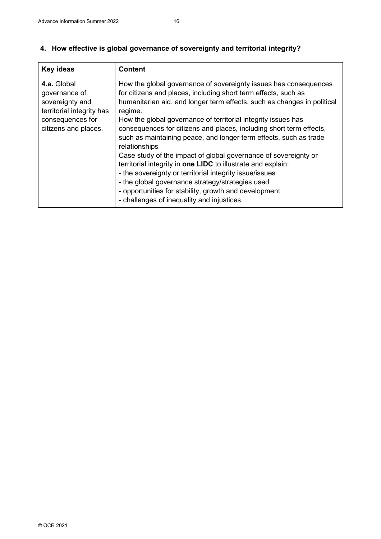| Key ideas                                                                                                                | <b>Content</b>                                                                                                                                                                                                                                                                                                                                                                                                                                                                                                                                                                                                                                                                                                                                                                                                  |
|--------------------------------------------------------------------------------------------------------------------------|-----------------------------------------------------------------------------------------------------------------------------------------------------------------------------------------------------------------------------------------------------------------------------------------------------------------------------------------------------------------------------------------------------------------------------------------------------------------------------------------------------------------------------------------------------------------------------------------------------------------------------------------------------------------------------------------------------------------------------------------------------------------------------------------------------------------|
| 4.a. Global<br>governance of<br>sovereignty and<br>territorial integrity has<br>consequences for<br>citizens and places. | How the global governance of sovereignty issues has consequences<br>for citizens and places, including short term effects, such as<br>humanitarian aid, and longer term effects, such as changes in political<br>regime.<br>How the global governance of territorial integrity issues has<br>consequences for citizens and places, including short term effects,<br>such as maintaining peace, and longer term effects, such as trade<br>relationships<br>Case study of the impact of global governance of sovereignty or<br>territorial integrity in one LIDC to illustrate and explain:<br>- the sovereignty or territorial integrity issue/issues<br>- the global governance strategy/strategies used<br>- opportunities for stability, growth and development<br>- challenges of inequality and injustices. |

## **4. How effective is global governance of sovereignty and territorial integrity?**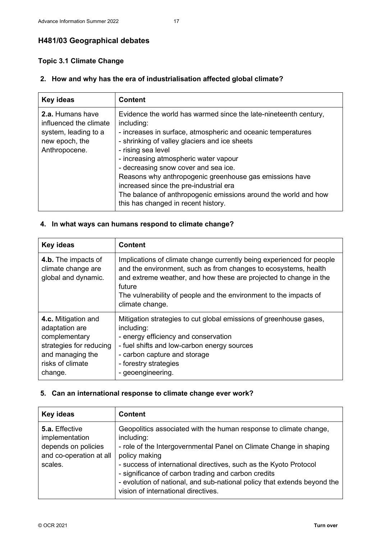## **H481/03 Geographical debates**

## **Topic 3.1 Climate Change**

## **2. How and why has the era of industrialisation affected global climate?**

| <b>Key ideas</b>                                                                                      | <b>Content</b>                                                                                                                                                                                                                                                                                                                                                                                                                                                                                                        |
|-------------------------------------------------------------------------------------------------------|-----------------------------------------------------------------------------------------------------------------------------------------------------------------------------------------------------------------------------------------------------------------------------------------------------------------------------------------------------------------------------------------------------------------------------------------------------------------------------------------------------------------------|
| 2.a. Humans have<br>influenced the climate<br>system, leading to a<br>new epoch, the<br>Anthropocene. | Evidence the world has warmed since the late-nineteenth century,<br>including:<br>- increases in surface, atmospheric and oceanic temperatures<br>- shrinking of valley glaciers and ice sheets<br>- rising sea level<br>- increasing atmospheric water vapour<br>- decreasing snow cover and sea ice.<br>Reasons why anthropogenic greenhouse gas emissions have<br>increased since the pre-industrial era<br>The balance of anthropogenic emissions around the world and how<br>this has changed in recent history. |

## **4. In what ways can humans respond to climate change?**

| <b>Key ideas</b>                                                                                                                     | <b>Content</b>                                                                                                                                                                                                                                                                                                  |
|--------------------------------------------------------------------------------------------------------------------------------------|-----------------------------------------------------------------------------------------------------------------------------------------------------------------------------------------------------------------------------------------------------------------------------------------------------------------|
| 4.b. The impacts of<br>climate change are<br>global and dynamic.                                                                     | Implications of climate change currently being experienced for people<br>and the environment, such as from changes to ecosystems, health<br>and extreme weather, and how these are projected to change in the<br>future<br>The vulnerability of people and the environment to the impacts of<br>climate change. |
| 4.c. Mitigation and<br>adaptation are<br>complementary<br>strategies for reducing<br>and managing the<br>risks of climate<br>change. | Mitigation strategies to cut global emissions of greenhouse gases,<br>including:<br>- energy efficiency and conservation<br>- fuel shifts and low-carbon energy sources<br>- carbon capture and storage<br>- forestry strategies<br>- geoengineering.                                                           |

## **5. Can an international response to climate change ever work?**

| <b>Key ideas</b>                                                                              | <b>Content</b>                                                                                                                                                                                                                                                                                                                                                                                                        |
|-----------------------------------------------------------------------------------------------|-----------------------------------------------------------------------------------------------------------------------------------------------------------------------------------------------------------------------------------------------------------------------------------------------------------------------------------------------------------------------------------------------------------------------|
| 5.a. Effective<br>implementation<br>depends on policies<br>and co-operation at all<br>scales. | Geopolitics associated with the human response to climate change,<br>including:<br>- role of the Intergovernmental Panel on Climate Change in shaping<br>policy making<br>- success of international directives, such as the Kyoto Protocol<br>- significance of carbon trading and carbon credits<br>- evolution of national, and sub-national policy that extends beyond the<br>vision of international directives. |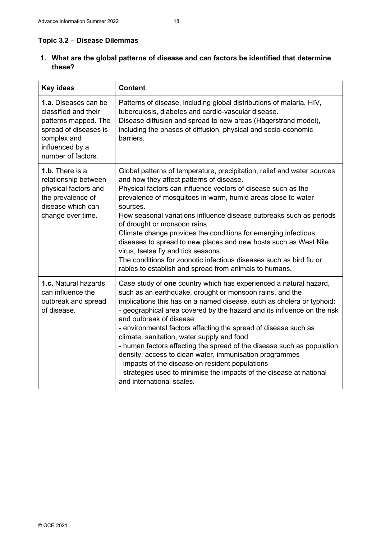## **Topic 3.2 – Disease Dilemmas**

**1. What are the global patterns of disease and can factors be identified that determine these?**

| <b>Key ideas</b>                                                                                                                                      | <b>Content</b>                                                                                                                                                                                                                                                                                                                                                                                                                                                                                                                                                                                                                                                                                                              |
|-------------------------------------------------------------------------------------------------------------------------------------------------------|-----------------------------------------------------------------------------------------------------------------------------------------------------------------------------------------------------------------------------------------------------------------------------------------------------------------------------------------------------------------------------------------------------------------------------------------------------------------------------------------------------------------------------------------------------------------------------------------------------------------------------------------------------------------------------------------------------------------------------|
| 1.a. Diseases can be<br>classified and their<br>patterns mapped. The<br>spread of diseases is<br>complex and<br>influenced by a<br>number of factors. | Patterns of disease, including global distributions of malaria, HIV,<br>tuberculosis, diabetes and cardio-vascular disease.<br>Disease diffusion and spread to new areas (Hägerstrand model),<br>including the phases of diffusion, physical and socio-economic<br>barriers.                                                                                                                                                                                                                                                                                                                                                                                                                                                |
| 1.b. There is a<br>relationship between<br>physical factors and<br>the prevalence of<br>disease which can<br>change over time.                        | Global patterns of temperature, precipitation, relief and water sources<br>and how they affect patterns of disease.<br>Physical factors can influence vectors of disease such as the<br>prevalence of mosquitoes in warm, humid areas close to water<br>sources.<br>How seasonal variations influence disease outbreaks such as periods<br>of drought or monsoon rains.<br>Climate change provides the conditions for emerging infectious<br>diseases to spread to new places and new hosts such as West Nile<br>virus, tsetse fly and tick seasons.<br>The conditions for zoonotic infectious diseases such as bird flu or<br>rabies to establish and spread from animals to humans.                                       |
| 1.c. Natural hazards<br>can influence the<br>outbreak and spread<br>of disease.                                                                       | Case study of one country which has experienced a natural hazard,<br>such as an earthquake, drought or monsoon rains, and the<br>implications this has on a named disease, such as cholera or typhoid:<br>- geographical area covered by the hazard and its influence on the risk<br>and outbreak of disease<br>- environmental factors affecting the spread of disease such as<br>climate, sanitation, water supply and food<br>- human factors affecting the spread of the disease such as population<br>density, access to clean water, immunisation programmes<br>- impacts of the disease on resident populations<br>- strategies used to minimise the impacts of the disease at national<br>and international scales. |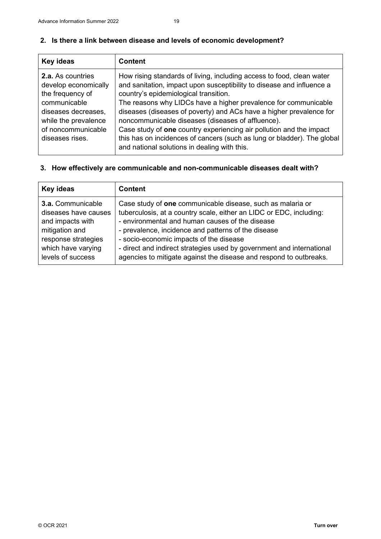## **2. Is there a link between disease and levels of economic development?**

| Key ideas                                                                                                                                                                    | <b>Content</b>                                                                                                                                                                                                                                                                                                                                                                                                                                                                                                                                                                           |
|------------------------------------------------------------------------------------------------------------------------------------------------------------------------------|------------------------------------------------------------------------------------------------------------------------------------------------------------------------------------------------------------------------------------------------------------------------------------------------------------------------------------------------------------------------------------------------------------------------------------------------------------------------------------------------------------------------------------------------------------------------------------------|
| <b>2.a.</b> As countries<br>develop economically<br>the frequency of<br>communicable<br>diseases decreases,<br>while the prevalence<br>of noncommunicable<br>diseases rises. | How rising standards of living, including access to food, clean water<br>and sanitation, impact upon susceptibility to disease and influence a<br>country's epidemiological transition.<br>The reasons why LIDCs have a higher prevalence for communicable<br>diseases (diseases of poverty) and ACs have a higher prevalence for<br>noncommunicable diseases (diseases of affluence).<br>Case study of one country experiencing air pollution and the impact<br>this has on incidences of cancers (such as lung or bladder). The global<br>and national solutions in dealing with this. |
|                                                                                                                                                                              |                                                                                                                                                                                                                                                                                                                                                                                                                                                                                                                                                                                          |

## **3. How effectively are communicable and non-communicable diseases dealt with?**

| Key ideas            | <b>Content</b>                                                        |
|----------------------|-----------------------------------------------------------------------|
| 3.a. Communicable    | Case study of one communicable disease, such as malaria or            |
| diseases have causes | tuberculosis, at a country scale, either an LIDC or EDC, including:   |
| and impacts with     | - environmental and human causes of the disease                       |
| mitigation and       | - prevalence, incidence and patterns of the disease                   |
| response strategies  | - socio-economic impacts of the disease                               |
| which have varying   | - direct and indirect strategies used by government and international |
| levels of success    | agencies to mitigate against the disease and respond to outbreaks.    |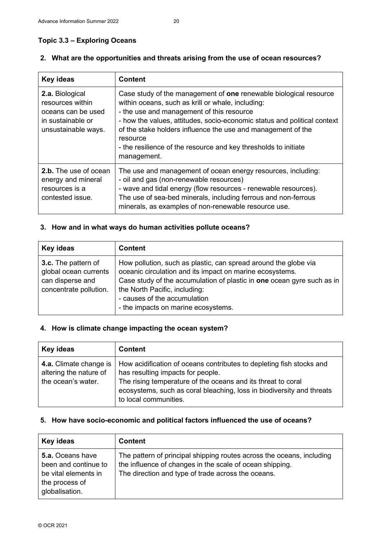## **Topic 3.3 – Exploring Oceans**

| <b>Key ideas</b>                                                                                      | <b>Content</b>                                                                                                                                                                                                                                                                                                                                                                                                |
|-------------------------------------------------------------------------------------------------------|---------------------------------------------------------------------------------------------------------------------------------------------------------------------------------------------------------------------------------------------------------------------------------------------------------------------------------------------------------------------------------------------------------------|
| 2.a. Biological<br>resources within<br>oceans can be used<br>in sustainable or<br>unsustainable ways. | Case study of the management of one renewable biological resource<br>within oceans, such as krill or whale, including:<br>- the use and management of this resource<br>- how the values, attitudes, socio-economic status and political context<br>of the stake holders influence the use and management of the<br>resource<br>- the resilience of the resource and key thresholds to initiate<br>management. |
| 2.b. The use of ocean<br>energy and mineral<br>resources is a<br>contested issue.                     | The use and management of ocean energy resources, including:<br>- oil and gas (non-renewable resources)<br>- wave and tidal energy (flow resources - renewable resources).<br>The use of sea-bed minerals, including ferrous and non-ferrous<br>minerals, as examples of non-renewable resource use.                                                                                                          |

### **2. What are the opportunities and threats arising from the use of ocean resources?**

### **3. How and in what ways do human activities pollute oceans?**

| Key ideas                                                                                         | <b>Content</b>                                                                                                                                                                                                                                                                                                |
|---------------------------------------------------------------------------------------------------|---------------------------------------------------------------------------------------------------------------------------------------------------------------------------------------------------------------------------------------------------------------------------------------------------------------|
| <b>3.c.</b> The pattern of<br>global ocean currents<br>can disperse and<br>concentrate pollution. | How pollution, such as plastic, can spread around the globe via<br>oceanic circulation and its impact on marine ecosystems.<br>Case study of the accumulation of plastic in one ocean gyre such as in<br>the North Pacific, including:<br>- causes of the accumulation<br>- the impacts on marine ecosystems. |

## **4. How is climate change impacting the ocean system?**

| Key ideas                                                              | <b>Content</b>                                                                                                                                                                                                                                                              |
|------------------------------------------------------------------------|-----------------------------------------------------------------------------------------------------------------------------------------------------------------------------------------------------------------------------------------------------------------------------|
| 4.a. Climate change is<br>altering the nature of<br>the ocean's water. | How acidification of oceans contributes to depleting fish stocks and<br>has resulting impacts for people.<br>The rising temperature of the oceans and its threat to coral<br>ecosystems, such as coral bleaching, loss in biodiversity and threats<br>to local communities. |

## **5. How have socio-economic and political factors influenced the use of oceans?**

| Key ideas                                                                                                   | <b>Content</b>                                                                                                                                                                          |
|-------------------------------------------------------------------------------------------------------------|-----------------------------------------------------------------------------------------------------------------------------------------------------------------------------------------|
| <b>5.a.</b> Oceans have<br>been and continue to<br>be vital elements in<br>the process of<br>globalisation. | The pattern of principal shipping routes across the oceans, including<br>the influence of changes in the scale of ocean shipping.<br>The direction and type of trade across the oceans. |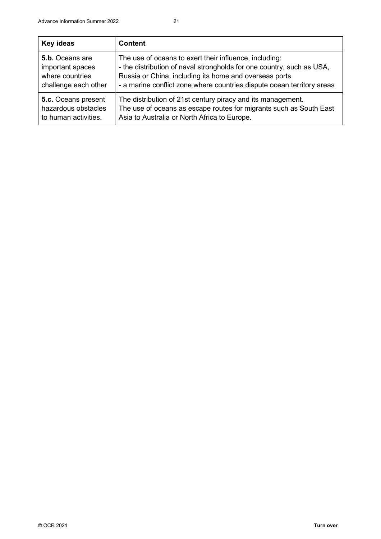| Key ideas                  | <b>Content</b>                                                         |
|----------------------------|------------------------------------------------------------------------|
| 5.b. Oceans are            | The use of oceans to exert their influence, including:                 |
| important spaces           | - the distribution of naval strongholds for one country, such as USA,  |
| where countries            | Russia or China, including its home and overseas ports                 |
| challenge each other       | - a marine conflict zone where countries dispute ocean territory areas |
| <b>5.c.</b> Oceans present | The distribution of 21st century piracy and its management.            |
| hazardous obstacles        | The use of oceans as escape routes for migrants such as South East     |
| to human activities.       | Asia to Australia or North Africa to Europe.                           |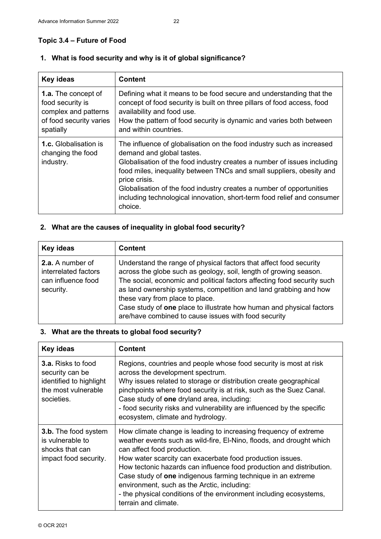## **Topic 3.4 – Future of Food**

## **1. What is food security and why is it of global significance?**

| Key ideas                                                                                               | <b>Content</b>                                                                                                                                                                                                                                                                                                                                                                                                                       |
|---------------------------------------------------------------------------------------------------------|--------------------------------------------------------------------------------------------------------------------------------------------------------------------------------------------------------------------------------------------------------------------------------------------------------------------------------------------------------------------------------------------------------------------------------------|
| 1.a. The concept of<br>food security is<br>complex and patterns<br>of food security varies<br>spatially | Defining what it means to be food secure and understanding that the<br>concept of food security is built on three pillars of food access, food<br>availability and food use.<br>How the pattern of food security is dynamic and varies both between<br>and within countries.                                                                                                                                                         |
| <b>1.c.</b> Globalisation is<br>changing the food<br>industry.                                          | The influence of globalisation on the food industry such as increased<br>demand and global tastes.<br>Globalisation of the food industry creates a number of issues including<br>food miles, inequality between TNCs and small suppliers, obesity and<br>price crisis.<br>Globalisation of the food industry creates a number of opportunities<br>including technological innovation, short-term food relief and consumer<br>choice. |

## **2. What are the causes of inequality in global food security?**

| Key ideas                                                                   | <b>Content</b>                                                                                                                                                                                                                                                                                                                                                                                                                                            |
|-----------------------------------------------------------------------------|-----------------------------------------------------------------------------------------------------------------------------------------------------------------------------------------------------------------------------------------------------------------------------------------------------------------------------------------------------------------------------------------------------------------------------------------------------------|
| 2.a. A number of<br>interrelated factors<br>can influence food<br>security. | Understand the range of physical factors that affect food security<br>across the globe such as geology, soil, length of growing season.<br>The social, economic and political factors affecting food security such<br>as land ownership systems, competition and land grabbing and how<br>these vary from place to place.<br>Case study of one place to illustrate how human and physical factors<br>are/have combined to cause issues with food security |

## **3. What are the threats to global food security?**

| <b>Key ideas</b>                                                                                             | <b>Content</b>                                                                                                                                                                                                                                                                                                                                                                                                                                                                                                            |
|--------------------------------------------------------------------------------------------------------------|---------------------------------------------------------------------------------------------------------------------------------------------------------------------------------------------------------------------------------------------------------------------------------------------------------------------------------------------------------------------------------------------------------------------------------------------------------------------------------------------------------------------------|
| <b>3.a.</b> Risks to food<br>security can be<br>identified to highlight<br>the most vulnerable<br>societies. | Regions, countries and people whose food security is most at risk<br>across the development spectrum.<br>Why issues related to storage or distribution create geographical<br>pinchpoints where food security is at risk, such as the Suez Canal.<br>Case study of one dryland area, including:<br>- food security risks and vulnerability are influenced by the specific<br>ecosystem, climate and hydrology.                                                                                                            |
| <b>3.b.</b> The food system<br>is vulnerable to<br>shocks that can<br>impact food security.                  | How climate change is leading to increasing frequency of extreme<br>weather events such as wild-fire, El-Nino, floods, and drought which<br>can affect food production.<br>How water scarcity can exacerbate food production issues.<br>How tectonic hazards can influence food production and distribution.<br>Case study of one indigenous farming technique in an extreme<br>environment, such as the Arctic, including:<br>- the physical conditions of the environment including ecosystems,<br>terrain and climate. |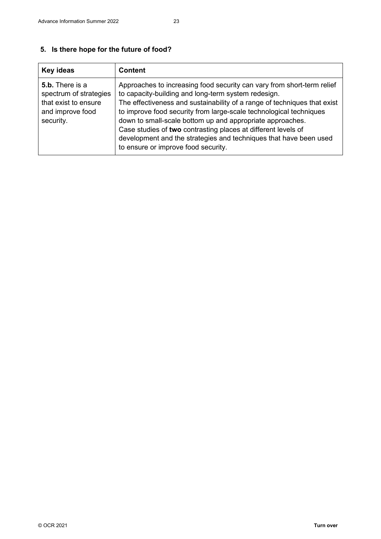## **5. Is there hope for the future of food?**

| Key ideas                                                                                                 | <b>Content</b>                                                                                                                                                                                                                                                                                                                                                                                                                                                                                                            |
|-----------------------------------------------------------------------------------------------------------|---------------------------------------------------------------------------------------------------------------------------------------------------------------------------------------------------------------------------------------------------------------------------------------------------------------------------------------------------------------------------------------------------------------------------------------------------------------------------------------------------------------------------|
| <b>5.b.</b> There is a<br>spectrum of strategies<br>that exist to ensure<br>and improve food<br>security. | Approaches to increasing food security can vary from short-term relief<br>to capacity-building and long-term system redesign.<br>The effectiveness and sustainability of a range of techniques that exist<br>to improve food security from large-scale technological techniques<br>down to small-scale bottom up and appropriate approaches.<br>Case studies of two contrasting places at different levels of<br>development and the strategies and techniques that have been used<br>to ensure or improve food security. |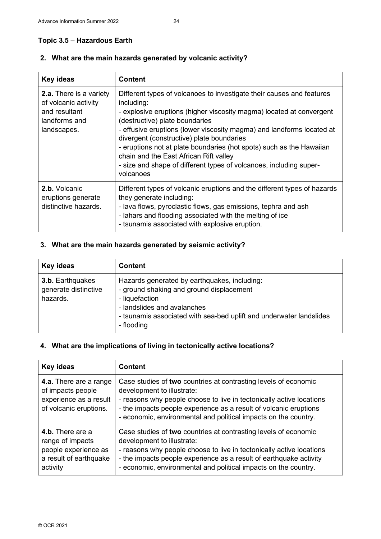## **Topic 3.5 – Hazardous Earth**

| <b>Key ideas</b>                                                                                        | <b>Content</b>                                                                                                                                                                                                                                                                                                                                                                                                                                                                                                           |
|---------------------------------------------------------------------------------------------------------|--------------------------------------------------------------------------------------------------------------------------------------------------------------------------------------------------------------------------------------------------------------------------------------------------------------------------------------------------------------------------------------------------------------------------------------------------------------------------------------------------------------------------|
| <b>2.a.</b> There is a variety<br>of volcanic activity<br>and resultant<br>landforms and<br>landscapes. | Different types of volcanoes to investigate their causes and features<br>including:<br>- explosive eruptions (higher viscosity magma) located at convergent<br>(destructive) plate boundaries<br>- effusive eruptions (lower viscosity magma) and landforms located at<br>divergent (constructive) plate boundaries<br>- eruptions not at plate boundaries (hot spots) such as the Hawaiian<br>chain and the East African Rift valley<br>- size and shape of different types of volcanoes, including super-<br>volcanoes |
| 2.b. Volcanic<br>eruptions generate<br>distinctive hazards.                                             | Different types of volcanic eruptions and the different types of hazards<br>they generate including:<br>- lava flows, pyroclastic flows, gas emissions, tephra and ash<br>- lahars and flooding associated with the melting of ice<br>- tsunamis associated with explosive eruption.                                                                                                                                                                                                                                     |

## **2. What are the main hazards generated by volcanic activity?**

## **3. What are the main hazards generated by seismic activity?**

| Key ideas                                            | <b>Content</b>                                                                                                                                                                                                                 |
|------------------------------------------------------|--------------------------------------------------------------------------------------------------------------------------------------------------------------------------------------------------------------------------------|
| 3.b. Earthquakes<br>generate distinctive<br>hazards. | Hazards generated by earthquakes, including:<br>- ground shaking and ground displacement<br>- liquefaction<br>- landslides and avalanches<br>- tsunamis associated with sea-bed uplift and underwater landslides<br>- flooding |

## **4. What are the implications of living in tectonically active locations?**

| Key ideas                                                                                          | <b>Content</b>                                                                                                                                                                                                                                                                                                 |
|----------------------------------------------------------------------------------------------------|----------------------------------------------------------------------------------------------------------------------------------------------------------------------------------------------------------------------------------------------------------------------------------------------------------------|
| 4.a. There are a range<br>of impacts people<br>experience as a result<br>of volcanic eruptions.    | Case studies of two countries at contrasting levels of economic<br>development to illustrate:<br>- reasons why people choose to live in tectonically active locations<br>- the impacts people experience as a result of volcanic eruptions<br>- economic, environmental and political impacts on the country.  |
| 4.b. There are a<br>range of impacts<br>people experience as<br>a result of earthquake<br>activity | Case studies of two countries at contrasting levels of economic<br>development to illustrate:<br>- reasons why people choose to live in tectonically active locations<br>- the impacts people experience as a result of earthquake activity<br>- economic, environmental and political impacts on the country. |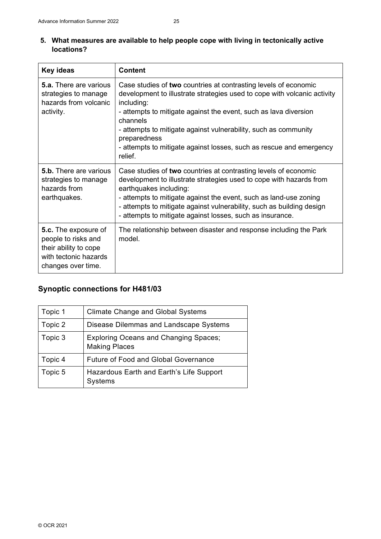| <b>Key ideas</b>                                                                                                    | <b>Content</b>                                                                                                                                                                                                                                                                                                                                                                                                 |
|---------------------------------------------------------------------------------------------------------------------|----------------------------------------------------------------------------------------------------------------------------------------------------------------------------------------------------------------------------------------------------------------------------------------------------------------------------------------------------------------------------------------------------------------|
| <b>5.a.</b> There are various<br>strategies to manage<br>hazards from volcanic<br>activity.                         | Case studies of two countries at contrasting levels of economic<br>development to illustrate strategies used to cope with volcanic activity<br>including:<br>- attempts to mitigate against the event, such as lava diversion<br>channels<br>- attempts to mitigate against vulnerability, such as community<br>preparedness<br>- attempts to mitigate against losses, such as rescue and emergency<br>relief. |
| <b>5.b.</b> There are various<br>strategies to manage<br>hazards from<br>earthquakes.                               | Case studies of two countries at contrasting levels of economic<br>development to illustrate strategies used to cope with hazards from<br>earthquakes including:<br>- attempts to mitigate against the event, such as land-use zoning<br>- attempts to mitigate against vulnerability, such as building design<br>- attempts to mitigate against losses, such as insurance.                                    |
| 5.c. The exposure of<br>people to risks and<br>their ability to cope<br>with tectonic hazards<br>changes over time. | The relationship between disaster and response including the Park<br>model.                                                                                                                                                                                                                                                                                                                                    |

## **Synoptic connections for H481/03**

| Topic 1 | <b>Climate Change and Global Systems</b>                             |
|---------|----------------------------------------------------------------------|
| Topic 2 | Disease Dilemmas and Landscape Systems                               |
| Topic 3 | <b>Exploring Oceans and Changing Spaces;</b><br><b>Making Places</b> |
| Topic 4 | <b>Future of Food and Global Governance</b>                          |
| Topic 5 | Hazardous Earth and Earth's Life Support<br>Systems                  |